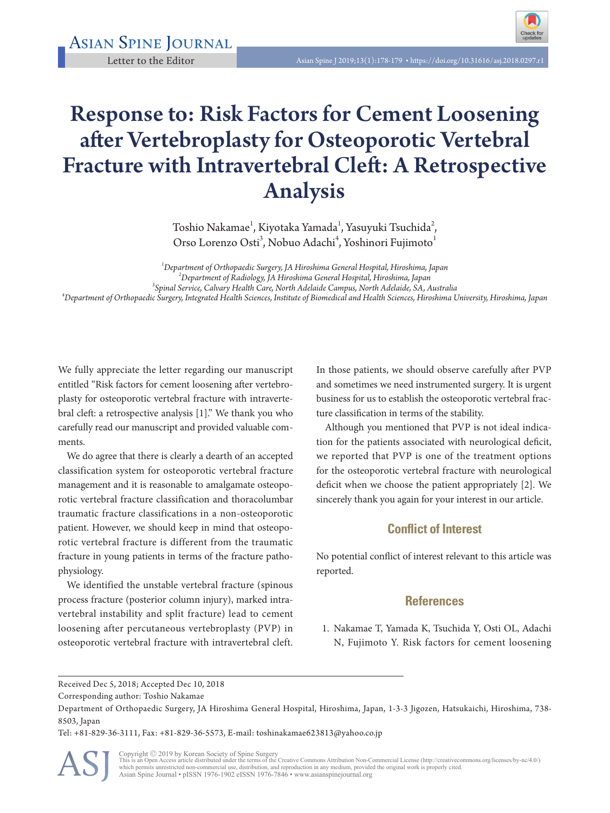

## Response to: Risk Factors for Cement Loosening after Vertebroplasty for Osteoporotic Vertebral Fracture with Intravertebral Cleft: A Retrospective Analysis

Toshio Nakamae $^{\rm l}$ , Kiyotaka Yamada $^{\rm l}$ , Yasuyuki Tsuchida $^{\rm 2}$ , Orso Lorenzo Osti<sup>3</sup>, Nobuo Adachi<sup>4</sup>, Yoshinori Fujimoto<sup>1</sup>

*1 Department of Orthopaedic Surgery, JA Hiroshima General Hospital, Hiroshima, Japan <sup>2</sup> Department of Radiology, JA Hiroshima General Hospital, Hiroshima, Japan <sup>3</sup> Spinal Service, Calvary Health Care, North Adelaide Campus, North Adelaide, SA, Australia <sup>4</sup> Department of Orthopaedic Surgery, Integrated Health Sciences, Institute of Biomedical and Health Sciences, Hiroshima University, Hiroshima, Japan*

We fully appreciate the letter regarding our manuscript entitled "Risk factors for cement loosening after vertebroplasty for osteoporotic vertebral fracture with intravertebral cleft: a retrospective analysis [1]." We thank you who carefully read our manuscript and provided valuable comments.

We do agree that there is clearly a dearth of an accepted classification system for osteoporotic vertebral fracture management and it is reasonable to amalgamate osteoporotic vertebral fracture classification and thoracolumbar traumatic fracture classifications in a non-osteoporotic patient. However, we should keep in mind that osteoporotic vertebral fracture is different from the traumatic fracture in young patients in terms of the fracture pathophysiology.

We identified the unstable vertebral fracture (spinous process fracture (posterior column injury), marked intravertebral instability and split fracture) lead to cement loosening after percutaneous vertebroplasty (PVP) in osteoporotic vertebral fracture with intravertebral cleft.

In those patients, we should observe carefully after PVP and sometimes we need instrumented surgery. It is urgent business for us to establish the osteoporotic vertebral fracture classification in terms of the stability.

Although you mentioned that PVP is not ideal indication for the patients associated with neurological deficit, we reported that PVP is one of the treatment options for the osteoporotic vertebral fracture with neurological deficit when we choose the patient appropriately [2]. We sincerely thank you again for your interest in our article.

## **Conflict of Interest**

No potential conflict of interest relevant to this article was reported.

## **References**

1. Nakamae T, Yamada K, Tsuchida Y, Osti OL, Adachi N, Fujimoto Y. Risk factors for cement loosening

Tel: +81-829-36-3111, Fax: +81-829-36-5573, E-mail: toshinakamae623813@yahoo.co.jp



Copyright © 2019 by Korean Society of Spine Surgery<br>This is an Open Access article distributed under the terms of the Creative Commons Attribution Non-Commercial License (http://creativecommons.org/licenses/by-nc/4.0/)<br>whi Asian Spine Journal • pISSN 1976-1902 eISSN 1976-7846 • www.asianspinejournal.org

Received Dec 5, 2018; Accepted Dec 10, 2018

Corresponding author: Toshio Nakamae

Department of Orthopaedic Surgery, JA Hiroshima General Hospital, Hiroshima, Japan, 1-3-3 Jigozen, Hatsukaichi, Hiroshima, 738- 8503, Japan